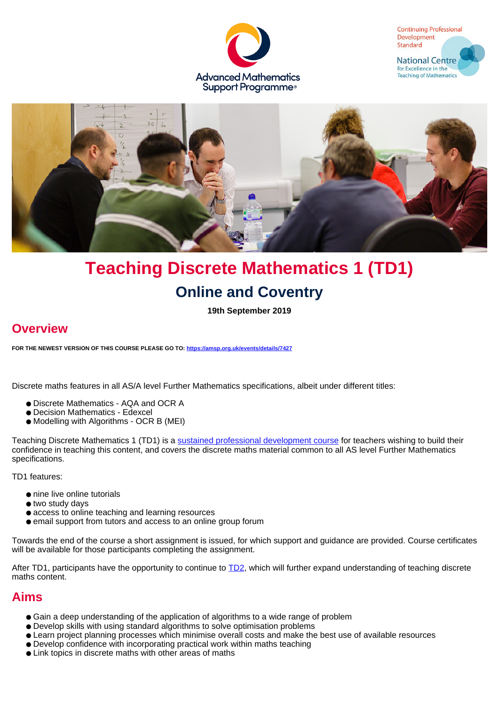





# **Teaching Discrete Mathematics 1 (TD1) Online and Coventry**

**19th September 2019**

# **Overview**

**FOR THE NEWEST VERSION OF THIS COURSE PLEASE GO TO: <https://amsp.org.uk/events/details/7427>**

Discrete maths features in all AS/A level Further Mathematics specifications, albeit under different titles:

- Discrete Mathematics AQA and OCR A
- Decision Mathematics Edexcel
- Modelling with Algorithms OCR B (MEI)

Teaching Discrete Mathematics 1 (TD1) is a [sustained professional development course](https://amsp.org.uk/events/sustained-pd-courses) for teachers wishing to build their confidence in teaching this content, and covers the discrete maths material common to all AS level Further Mathematics specifications.

TD1 features:

- nine live online tutorials
- two study days
- access to online teaching and learning resources
- email support from tutors and access to an online group forum

Towards the end of the course a short assignment is issued, for which support and guidance are provided. Course certificates will be available for those participants completing the assignment.

After TD1, participants have the opportunity to continue to [TD2,](https://amsp.org.uk/events/details/5199) which will further expand understanding of teaching discrete maths content.

### **Aims**

- Gain a deep understanding of the application of algorithms to a wide range of problem
- Develop skills with using standard algorithms to solve optimisation problems
- Learn project planning processes which minimise overall costs and make the best use of available resources
- Develop confidence with incorporating practical work within maths teaching
- Link topics in discrete maths with other areas of maths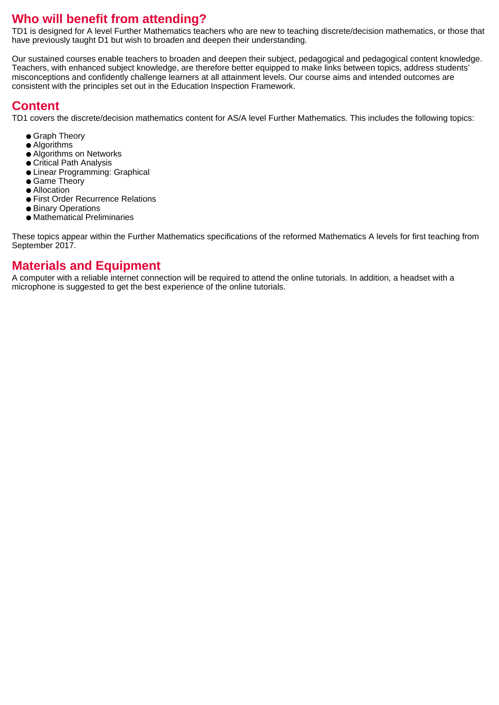# **Who will benefit from attending?**

TD1 is designed for A level Further Mathematics teachers who are new to teaching discrete/decision mathematics, or those that have previously taught D1 but wish to broaden and deepen their understanding.

Our sustained courses enable teachers to broaden and deepen their subject, pedagogical and pedagogical content knowledge. Teachers, with enhanced subject knowledge, are therefore better equipped to make links between topics, address students' misconceptions and confidently challenge learners at all attainment levels. Our course aims and intended outcomes are consistent with the principles set out in the Education Inspection Framework.

# **Content**

TD1 covers the discrete/decision mathematics content for AS/A level Further Mathematics. This includes the following topics:

- Graph Theory
- Algorithms
- Algorithms on Networks
- Critical Path Analysis
- Linear Programming: Graphical
- Game Theory
- Allocation
- First Order Recurrence Relations
- Binary Operations ● Mathematical Preliminaries

These topics appear within the Further Mathematics specifications of the reformed Mathematics A levels for first teaching from September 2017.

### **Materials and Equipment**

A computer with a reliable internet connection will be required to attend the online tutorials. In addition, a headset with a microphone is suggested to get the best experience of the online tutorials.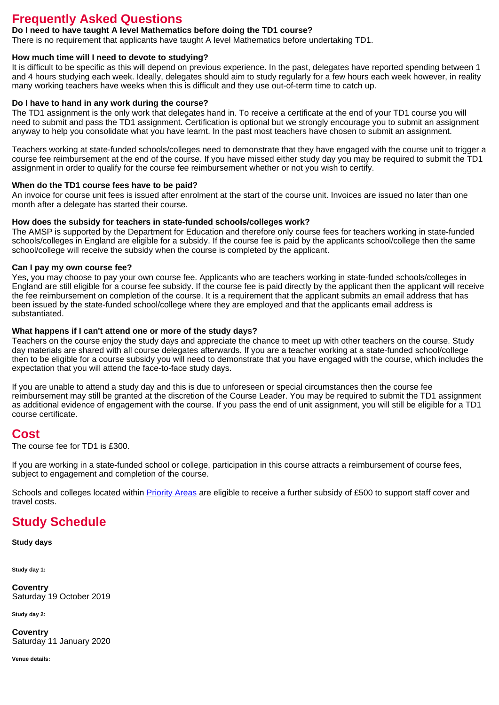## **Frequently Asked Questions**

### **Do I need to have taught A level Mathematics before doing the TD1 course?**

There is no requirement that applicants have taught A level Mathematics before undertaking TD1.

#### **How much time will I need to devote to studying?**

It is difficult to be specific as this will depend on previous experience. In the past, delegates have reported spending between 1 and 4 hours studying each week. Ideally, delegates should aim to study regularly for a few hours each week however, in reality many working teachers have weeks when this is difficult and they use out-of-term time to catch up.

#### **Do I have to hand in any work during the course?**

The TD1 assignment is the only work that delegates hand in. To receive a certificate at the end of your TD1 course you will need to submit and pass the TD1 assignment. Certification is optional but we strongly encourage you to submit an assignment anyway to help you consolidate what you have learnt. In the past most teachers have chosen to submit an assignment.

Teachers working at state-funded schools/colleges need to demonstrate that they have engaged with the course unit to trigger a course fee reimbursement at the end of the course. If you have missed either study day you may be required to submit the TD1 assignment in order to qualify for the course fee reimbursement whether or not you wish to certify.

#### **When do the TD1 course fees have to be paid?**

An invoice for course unit fees is issued after enrolment at the start of the course unit. Invoices are issued no later than one month after a delegate has started their course.

#### **How does the subsidy for teachers in state-funded schools/colleges work?**

The AMSP is supported by the Department for Education and therefore only course fees for teachers working in state-funded schools/colleges in England are eligible for a subsidy. If the course fee is paid by the applicants school/college then the same school/college will receive the subsidy when the course is completed by the applicant.

#### **Can I pay my own course fee?**

Yes, you may choose to pay your own course fee. Applicants who are teachers working in state-funded schools/colleges in England are still eligible for a course fee subsidy. If the course fee is paid directly by the applicant then the applicant will receive the fee reimbursement on completion of the course. It is a requirement that the applicant submits an email address that has been issued by the state-funded school/college where they are employed and that the applicants email address is substantiated.

#### **What happens if I can't attend one or more of the study days?**

Teachers on the course enjoy the study days and appreciate the chance to meet up with other teachers on the course. Study day materials are shared with all course delegates afterwards. If you are a teacher working at a state-funded school/college then to be eligible for a course subsidy you will need to demonstrate that you have engaged with the course, which includes the expectation that you will attend the face-to-face study days.

If you are unable to attend a study day and this is due to unforeseen or special circumstances then the course fee reimbursement may still be granted at the discretion of the Course Leader. You may be required to submit the TD1 assignment as additional evidence of engagement with the course. If you pass the end of unit assignment, you will still be eligible for a TD1 course certificate.

### **Cost**

The course fee for TD1 is £300.

If you are working in a state-funded school or college, participation in this course attracts a reimbursement of course fees, subject to engagement and completion of the course.

Schools and colleges located within [Priority Areas](https://amsp.org.uk/about/priority-areas) are eligible to receive a further subsidy of £500 to support staff cover and travel costs.

### **Study Schedule**

**Study days**

**Study day 1:**

**Coventry** Saturday 19 October 2019

**Study day 2:**

**Coventry** Saturday 11 January 2020

**Venue details:**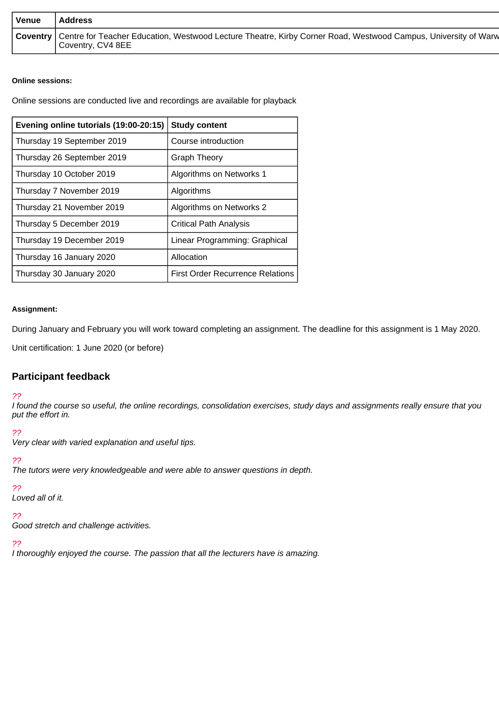| <b>Venue</b> | <b>Address</b>                                                                                                                                 |
|--------------|------------------------------------------------------------------------------------------------------------------------------------------------|
|              | Coventry   Centre for Teacher Education, Westwood Lecture Theatre, Kirby Corner Road, Westwood Campus, University of Warw<br>Coventry, CV4 8EE |

### **Online sessions:**

Online sessions are conducted live and recordings are available for playback

| Evening online tutorials (19:00-20:15) | <b>Study content</b>                    |  |
|----------------------------------------|-----------------------------------------|--|
| Thursday 19 September 2019             | Course introduction                     |  |
| Thursday 26 September 2019             | <b>Graph Theory</b>                     |  |
| Thursday 10 October 2019               | Algorithms on Networks 1                |  |
| Thursday 7 November 2019               | Algorithms                              |  |
| Thursday 21 November 2019              | Algorithms on Networks 2                |  |
| Thursday 5 December 2019               | <b>Critical Path Analysis</b>           |  |
| Thursday 19 December 2019              | Linear Programming: Graphical           |  |
| Thursday 16 January 2020               | Allocation                              |  |
| Thursday 30 January 2020               | <b>First Order Recurrence Relations</b> |  |

### **Assignment:**

During January and February you will work toward completing an assignment. The deadline for this assignment is 1 May 2020.

Unit certification: 1 June 2020 (or before)

### **Participant feedback**

### ??

I found the course so useful, the online recordings, consolidation exercises, study days and assignments really ensure that you put the effort in.

### ??

Very clear with varied explanation and useful tips.

### ??

The tutors were very knowledgeable and were able to answer questions in depth.

### ??

Loved all of it.

### ??

Good stretch and challenge activities.

### ??

I thoroughly enjoyed the course. The passion that all the lecturers have is amazing.